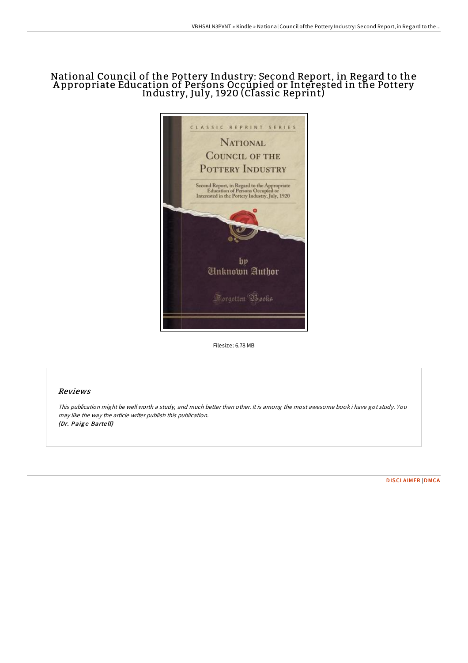## National Council of the Pottery Industry: Second Report, in Regard to the A ppropriate Education of Persons Occupied or Interested in the Pottery Industry, July, 1920 (Classic Reprint)



Filesize: 6.78 MB

## Reviews

This publication might be well worth <sup>a</sup> study, and much better than other. It is among the most awesome book i have got study. You may like the way the article writer publish this publication. (Dr. Paige Bartell)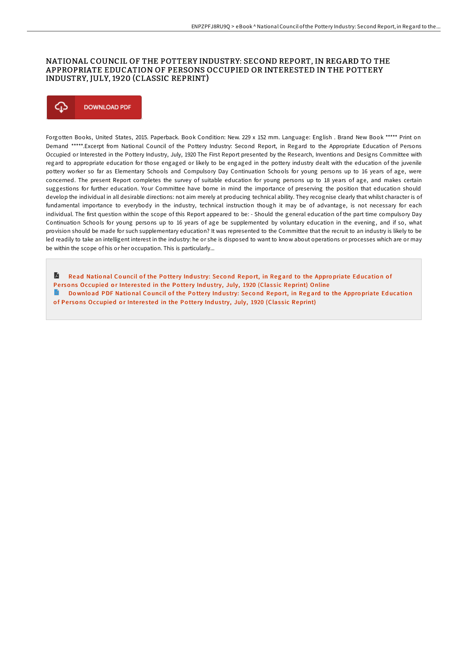## NATIONAL COUNCIL OF THE POTTERY INDUSTRY: SECOND REPORT, IN REGARD TO THE APPROPRIATE EDUCATION OF PERSONS OCCUPIED OR INTERESTED IN THE POTTERY INDUSTRY, JULY, 1920 (CLASSIC REPRINT)



Forgotten Books, United States, 2015. Paperback. Book Condition: New. 229 x 152 mm. Language: English . Brand New Book \*\*\*\*\* Print on Demand \*\*\*\*\*.Excerpt from National Council of the Pottery Industry: Second Report, in Regard to the Appropriate Education of Persons Occupied or Interested in the Pottery Industry, July, 1920 The First Report presented by the Research, Inventions and Designs Committee with regard to appropriate education for those engaged or likely to be engaged in the pottery industry dealt with the education of the juvenile pottery worker so far as Elementary Schools and Compulsory Day Continuation Schools for young persons up to 16 years of age, were concerned. The present Report completes the survey of suitable education for young persons up to 18 years of age, and makes certain suggestions for further education. Your Committee have borne in mind the importance of preserving the position that education should develop the individual in all desirable directions: not aim merely at producing technical ability. They recognise clearly that whilst character is of fundamental importance to everybody in the industry, technical instruction though it may be of advantage, is not necessary for each individual. The first question within the scope of this Report appeared to be: - Should the general education of the part time compulsory Day Continuation Schools for young persons up to 16 years of age be supplemented by voluntary education in the evening, and if so, what provision should be made for such supplementary education? It was represented to the Committee that the recruit to an industry is likely to be led readily to take an intelligent interest in the industry: he or she is disposed to want to know about operations or processes which are or may be within the scope of his or her occupation. This is particularly...

Read National Council of the Pottery Industry: Second Report, in Regard to the Appropriate Education of Persons [Occupied](http://almighty24.tech/national-council-of-the-pottery-industry-second-.html) or Interested in the Pottery Industry, July, 1920 (Classic Reprint) Online

Do wnload PDF National Council of the Pottery Industry: Second Report, in Regard to the Appropriate Education

of Persons [Occupied](http://almighty24.tech/national-council-of-the-pottery-industry-second-.html) or Interested in the Pottery Industry, July, 1920 (Classic Reprint)